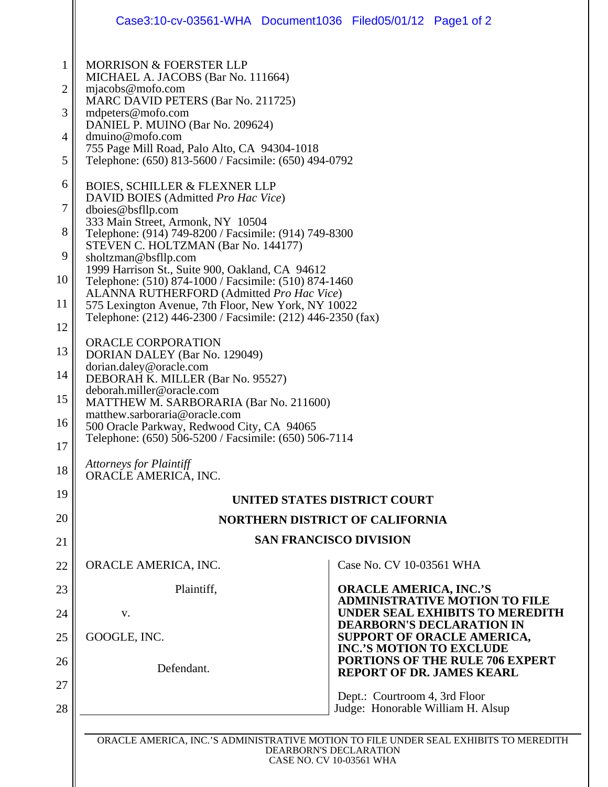|                                                                        | Case3:10-cv-03561-WHA Document1036 Filed05/01/12 Page1 of 2                                                                                                                                                                                                                                                                                                                                                                                                                                                                                                                                                                                                                                                                                                                                                                                                                                                                                      |                                                                                                                                                                                                                                                                   |
|------------------------------------------------------------------------|--------------------------------------------------------------------------------------------------------------------------------------------------------------------------------------------------------------------------------------------------------------------------------------------------------------------------------------------------------------------------------------------------------------------------------------------------------------------------------------------------------------------------------------------------------------------------------------------------------------------------------------------------------------------------------------------------------------------------------------------------------------------------------------------------------------------------------------------------------------------------------------------------------------------------------------------------|-------------------------------------------------------------------------------------------------------------------------------------------------------------------------------------------------------------------------------------------------------------------|
| 1<br>2<br>3<br>4<br>5                                                  | <b>MORRISON &amp; FOERSTER LLP</b><br>MICHAEL A. JACOBS (Bar No. 111664)<br>$m$ jacobs@mofo.com<br>MARC DAVID PETERS (Bar No. 211725)<br>mdpeters@mofo.com<br>DANIEL P. MUINO (Bar No. 209624)<br>dmuino@mofo.com<br>755 Page Mill Road, Palo Alto, CA 94304-1018<br>Telephone: (650) 813-5600 / Facsimile: (650) 494-0792                                                                                                                                                                                                                                                                                                                                                                                                                                                                                                                                                                                                                       |                                                                                                                                                                                                                                                                   |
| 6<br>7<br>8<br>9<br>10<br>11<br>12<br>13<br>14<br>15<br>16<br>17<br>18 | <b>BOIES, SCHILLER &amp; FLEXNER LLP</b><br>DAVID BOIES (Admitted Pro Hac Vice)<br>dboies@bsfllp.com<br>333 Main Street, Armonk, NY 10504<br>Telephone: (914) 749-8200 / Facsimile: (914) 749-8300<br>STEVEN C. HOLTZMAN (Bar No. 144177)<br>sholtzman@bsfllp.com<br>1999 Harrison St., Suite 900, Oakland, CA 94612<br>Telephone: (510) 874-1000 / Facsimile: (510) 874-1460<br>ALANNA RUTHERFORD (Admitted Pro Hac Vice)<br>575 Lexington Avenue, 7th Floor, New York, NY 10022<br>Telephone: (212) 446-2300 / Facsimile: (212) 446-2350 (fax)<br>ORACLE CORPORATION<br>DORIAN DALEY (Bar No. 129049)<br>dorian.daley@oracle.com<br>DEBORAH K. MILLER (Bar No. 95527)<br>deborah.miller@oracle.com<br>MATTHEW M. SARBORARIA (Bar No. 211600)<br>matthew.sarboraria@oracle.com<br>500 Oracle Parkway, Redwood City, CA 94065<br>Telephone: (650) 506-5200 / Facsimile: (650) 506-7114<br><b>Attorneys for Plaintiff</b><br>ORACLE AMERICA, INC. |                                                                                                                                                                                                                                                                   |
| 19                                                                     | UNITED STATES DISTRICT COURT                                                                                                                                                                                                                                                                                                                                                                                                                                                                                                                                                                                                                                                                                                                                                                                                                                                                                                                     |                                                                                                                                                                                                                                                                   |
| 20                                                                     | <b>NORTHERN DISTRICT OF CALIFORNIA</b>                                                                                                                                                                                                                                                                                                                                                                                                                                                                                                                                                                                                                                                                                                                                                                                                                                                                                                           |                                                                                                                                                                                                                                                                   |
| 21                                                                     | <b>SAN FRANCISCO DIVISION</b>                                                                                                                                                                                                                                                                                                                                                                                                                                                                                                                                                                                                                                                                                                                                                                                                                                                                                                                    |                                                                                                                                                                                                                                                                   |
| 22                                                                     | ORACLE AMERICA, INC.                                                                                                                                                                                                                                                                                                                                                                                                                                                                                                                                                                                                                                                                                                                                                                                                                                                                                                                             | Case No. CV 10-03561 WHA                                                                                                                                                                                                                                          |
| 23                                                                     | Plaintiff,                                                                                                                                                                                                                                                                                                                                                                                                                                                                                                                                                                                                                                                                                                                                                                                                                                                                                                                                       | <b>ORACLE AMERICA, INC.'S</b>                                                                                                                                                                                                                                     |
| 24                                                                     | V.                                                                                                                                                                                                                                                                                                                                                                                                                                                                                                                                                                                                                                                                                                                                                                                                                                                                                                                                               | <b>ADMINISTRATIVE MOTION TO FILE</b><br><b>UNDER SEAL EXHIBITS TO MEREDITH</b><br><b>DEARBORN'S DECLARATION IN</b><br>SUPPORT OF ORACLE AMERICA,<br><b>INC.'S MOTION TO EXCLUDE</b><br><b>PORTIONS OF THE RULE 706 EXPERT</b><br><b>REPORT OF DR. JAMES KEARL</b> |
| 25                                                                     | GOOGLE, INC.                                                                                                                                                                                                                                                                                                                                                                                                                                                                                                                                                                                                                                                                                                                                                                                                                                                                                                                                     |                                                                                                                                                                                                                                                                   |
| 26                                                                     | Defendant.                                                                                                                                                                                                                                                                                                                                                                                                                                                                                                                                                                                                                                                                                                                                                                                                                                                                                                                                       |                                                                                                                                                                                                                                                                   |
| 27<br>28                                                               |                                                                                                                                                                                                                                                                                                                                                                                                                                                                                                                                                                                                                                                                                                                                                                                                                                                                                                                                                  | Dept.: Courtroom 4, 3rd Floor<br>Judge: Honorable William H. Alsup                                                                                                                                                                                                |
|                                                                        | ORACLE AMERICA, INC.'S ADMINISTRATIVE MOTION TO FILE UNDER SEAL EXHIBITS TO MEREDITH<br>DEARBORN'S DECLARATION<br>CASE NO. CV 10-03561 WHA                                                                                                                                                                                                                                                                                                                                                                                                                                                                                                                                                                                                                                                                                                                                                                                                       |                                                                                                                                                                                                                                                                   |